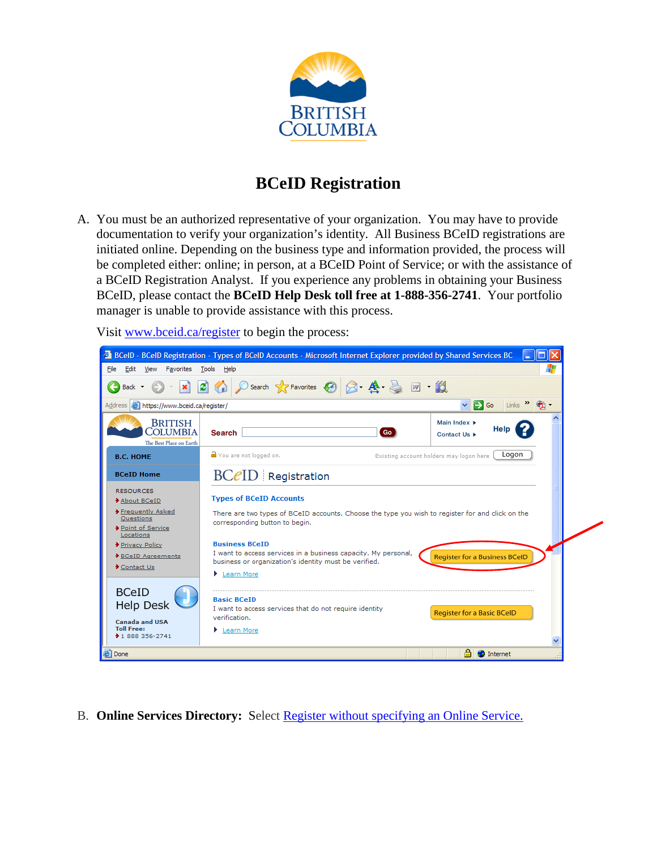

# **BCeID Registration**

A. You must be an authorized representative of your organization. You may have to provide documentation to verify your organization's identity. All Business BCeID registrations are initiated online. Depending on the business type and information provided, the process will be completed either: online; in person, at a BCeID Point of Service; or with the assistance of a BCeID Registration Analyst. If you experience any problems in obtaining your Business BCeID, please contact the **BCeID Help Desk toll free at 1-888-356-2741**. Your portfolio manager is unable to provide assistance with this process.





B. **Online Services Directory:** Select Register without specifying an Online Service.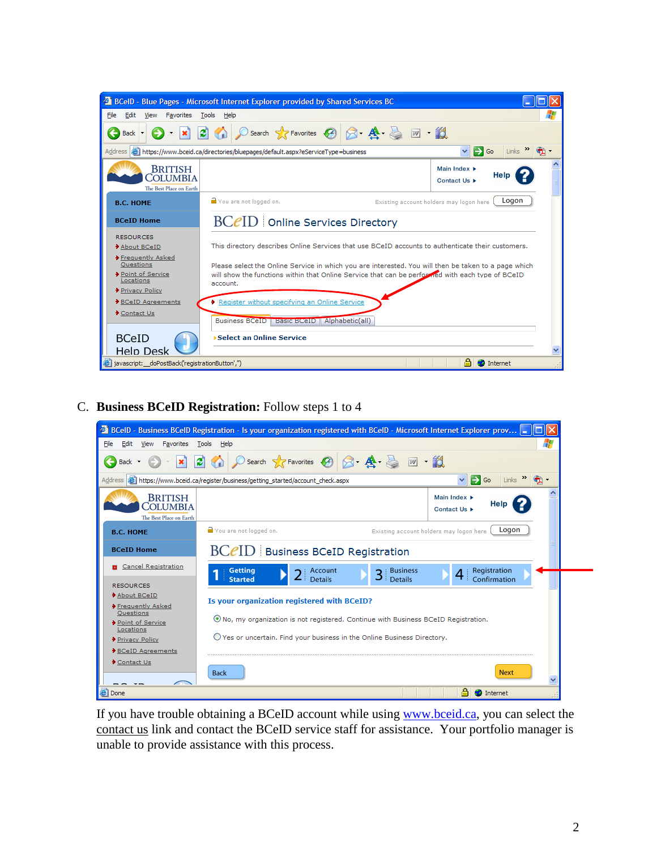

C. **Business BCeID Registration:** Follow steps 1 to 4



If you have trouble obtaining a BCeID account while using [www.bceid.ca,](http://www.bceid.ca/) you can select the contact us link and contact the BCeID service staff for assistance. Your portfolio manager is unable to provide assistance with this process.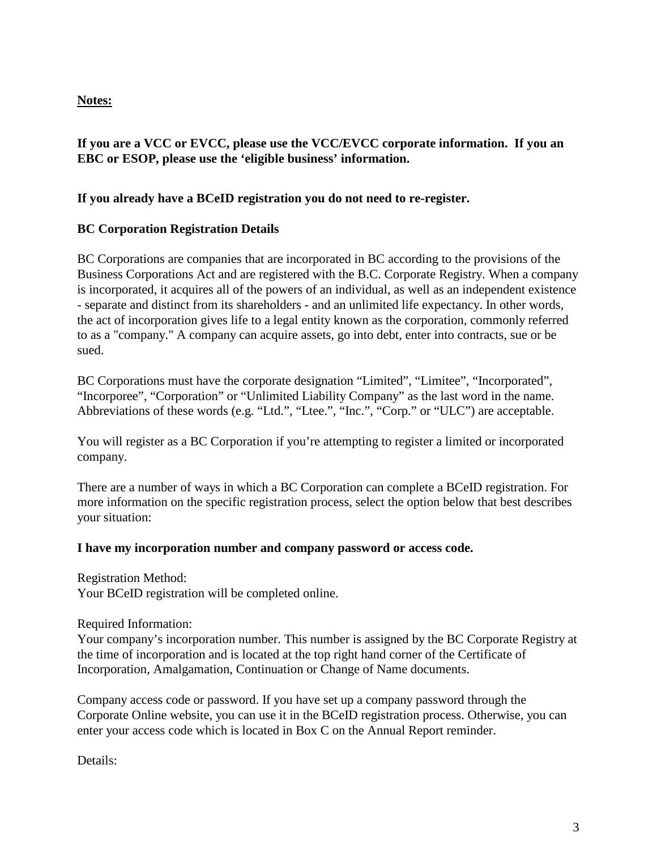# **Notes:**

# **If you are a VCC or EVCC, please use the VCC/EVCC corporate information. If you an EBC or ESOP, please use the 'eligible business' information.**

## **If you already have a BCeID registration you do not need to re-register.**

# **BC Corporation Registration Details**

BC Corporations are companies that are incorporated in BC according to the provisions of the Business Corporations Act and are registered with the B.C. Corporate Registry. When a company is incorporated, it acquires all of the powers of an individual, as well as an independent existence - separate and distinct from its shareholders - and an unlimited life expectancy. In other words, the act of incorporation gives life to a legal entity known as the corporation, commonly referred to as a "company." A company can acquire assets, go into debt, enter into contracts, sue or be sued.

BC Corporations must have the corporate designation "Limited", "Limitee", "Incorporated", "Incorporee", "Corporation" or "Unlimited Liability Company" as the last word in the name. Abbreviations of these words (e.g. "Ltd.", "Ltee.", "Inc.", "Corp." or "ULC") are acceptable.

You will register as a BC Corporation if you're attempting to register a limited or incorporated company.

There are a number of ways in which a BC Corporation can complete a BCeID registration. For more information on the specific registration process, select the option below that best describes your situation:

### **I have my incorporation number and company password or access code.**

Registration Method: Your BCeID registration will be completed online.

Required Information:

Your company's incorporation number. This number is assigned by the BC Corporate Registry at the time of incorporation and is located at the top right hand corner of the Certificate of Incorporation, Amalgamation, Continuation or Change of Name documents.

Company access code or password. If you have set up a company password through the Corporate Online website, you can use it in the BCeID registration process. Otherwise, you can enter your access code which is located in Box C on the Annual Report reminder.

Details: